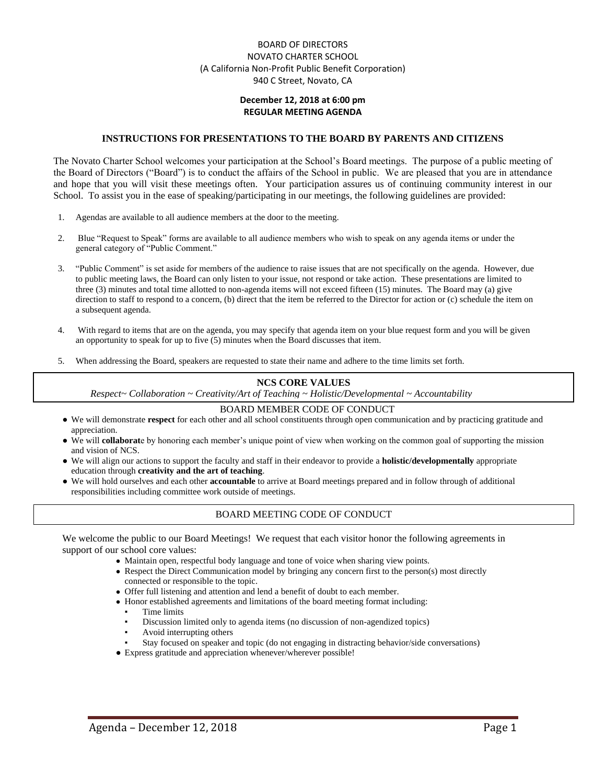## BOARD OF DIRECTORS NOVATO CHARTER SCHOOL (A California Non-Profit Public Benefit Corporation) 940 C Street, Novato, CA

### **December 12, 2018 at 6:00 pm REGULAR MEETING AGENDA**

#### **INSTRUCTIONS FOR PRESENTATIONS TO THE BOARD BY PARENTS AND CITIZENS**

The Novato Charter School welcomes your participation at the School's Board meetings. The purpose of a public meeting of the Board of Directors ("Board") is to conduct the affairs of the School in public. We are pleased that you are in attendance and hope that you will visit these meetings often. Your participation assures us of continuing community interest in our School. To assist you in the ease of speaking/participating in our meetings, the following guidelines are provided:

- 1. Agendas are available to all audience members at the door to the meeting.
- 2. Blue "Request to Speak" forms are available to all audience members who wish to speak on any agenda items or under the general category of "Public Comment."
- 3. "Public Comment" is set aside for members of the audience to raise issues that are not specifically on the agenda. However, due to public meeting laws, the Board can only listen to your issue, not respond or take action. These presentations are limited to three (3) minutes and total time allotted to non-agenda items will not exceed fifteen (15) minutes. The Board may (a) give direction to staff to respond to a concern, (b) direct that the item be referred to the Director for action or (c) schedule the item on a subsequent agenda.
- 4. With regard to items that are on the agenda, you may specify that agenda item on your blue request form and you will be given an opportunity to speak for up to five (5) minutes when the Board discusses that item.
- 5. When addressing the Board, speakers are requested to state their name and adhere to the time limits set forth.

#### **NCS CORE VALUES**

*Respect~ Collaboration ~ Creativity/Art of Teaching ~ Holistic/Developmental ~ Accountability*

#### BOARD MEMBER CODE OF CONDUCT

- We will demonstrate **respect** for each other and all school constituents through open communication and by practicing gratitude and appreciation.
- We will **collaborat**e by honoring each member's unique point of view when working on the common goal of supporting the mission and vision of NCS.
- We will align our actions to support the faculty and staff in their endeavor to provide a **holistic/developmentally** appropriate education through **creativity and the art of teaching**.
- We will hold ourselves and each other **accountable** to arrive at Board meetings prepared and in follow through of additional responsibilities including committee work outside of meetings.

### BOARD MEETING CODE OF CONDUCT

We welcome the public to our Board Meetings! We request that each visitor honor the following agreements in support of our school core values:

- Maintain open, respectful body language and tone of voice when sharing view points.
- Respect the Direct Communication model by bringing any concern first to the person(s) most directly connected or responsible to the topic.
- Offer full listening and attention and lend a benefit of doubt to each member.
- Honor established agreements and limitations of the board meeting format including:
	- Time limits
	- Discussion limited only to agenda items (no discussion of non-agendized topics)
	- Avoid interrupting others
	- Stay focused on speaker and topic (do not engaging in distracting behavior/side conversations)
- Express gratitude and appreciation whenever/wherever possible!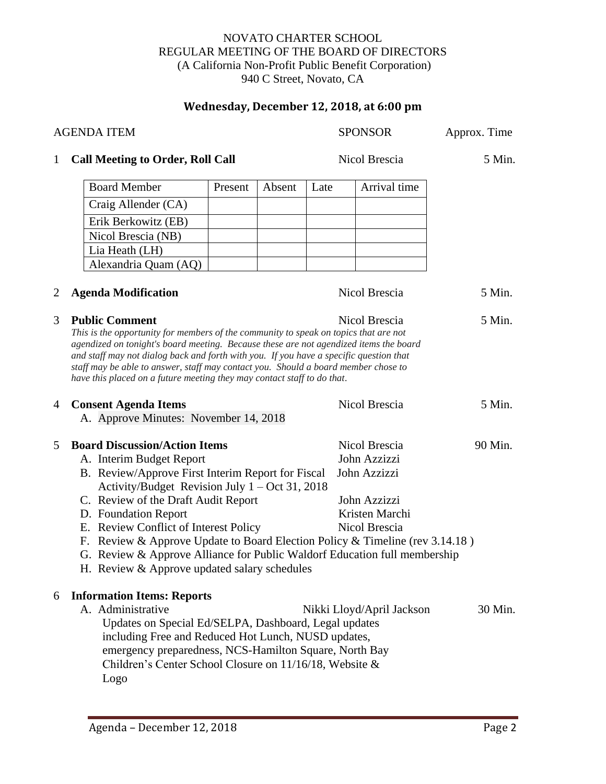## NOVATO CHARTER SCHOOL REGULAR MEETING OF THE BOARD OF DIRECTORS (A California Non-Profit Public Benefit Corporation) 940 C Street, Novato, CA

# **Wednesday, December 12, 2018, at 6:00 pm**

| <b>AGENDA ITEM</b> |                                                                                                                                                                                                                                                                                                                                                                                                                                                                                              |         |        |      | <b>SPONSOR</b>                                | Approx. Time |  |  |
|--------------------|----------------------------------------------------------------------------------------------------------------------------------------------------------------------------------------------------------------------------------------------------------------------------------------------------------------------------------------------------------------------------------------------------------------------------------------------------------------------------------------------|---------|--------|------|-----------------------------------------------|--------------|--|--|
| $\mathbf{1}$       | <b>Call Meeting to Order, Roll Call</b>                                                                                                                                                                                                                                                                                                                                                                                                                                                      |         |        |      | Nicol Brescia                                 | 5 Min.       |  |  |
|                    | <b>Board Member</b>                                                                                                                                                                                                                                                                                                                                                                                                                                                                          | Present | Absent | Late | Arrival time                                  |              |  |  |
|                    | Craig Allender (CA)                                                                                                                                                                                                                                                                                                                                                                                                                                                                          |         |        |      |                                               |              |  |  |
|                    | Erik Berkowitz (EB)                                                                                                                                                                                                                                                                                                                                                                                                                                                                          |         |        |      |                                               |              |  |  |
|                    | Nicol Brescia (NB)                                                                                                                                                                                                                                                                                                                                                                                                                                                                           |         |        |      |                                               |              |  |  |
|                    | Lia Heath (LH)                                                                                                                                                                                                                                                                                                                                                                                                                                                                               |         |        |      |                                               |              |  |  |
|                    | Alexandria Quam (AQ)                                                                                                                                                                                                                                                                                                                                                                                                                                                                         |         |        |      |                                               |              |  |  |
| $\overline{2}$     | <b>Agenda Modification</b>                                                                                                                                                                                                                                                                                                                                                                                                                                                                   |         |        |      | Nicol Brescia                                 | 5 Min.       |  |  |
| 3                  | <b>Public Comment</b><br>Nicol Brescia<br>5 Min.<br>This is the opportunity for members of the community to speak on topics that are not<br>agendized on tonight's board meeting. Because these are not agendized items the board<br>and staff may not dialog back and forth with you. If you have a specific question that<br>staff may be able to answer, staff may contact you. Should a board member chose to<br>have this placed on a future meeting they may contact staff to do that. |         |        |      |                                               |              |  |  |
| 4                  | <b>Consent Agenda Items</b><br>A. Approve Minutes: November 14, 2018                                                                                                                                                                                                                                                                                                                                                                                                                         |         |        |      | Nicol Brescia                                 | 5 Min.       |  |  |
| 5                  | <b>Board Discussion/Action Items</b><br>A. Interim Budget Report<br>B. Review/Approve First Interim Report for Fiscal                                                                                                                                                                                                                                                                                                                                                                        |         |        |      | Nicol Brescia<br>John Azzizzi<br>John Azzizzi | 90 Min.      |  |  |
|                    | Activity/Budget Revision July $1 - Oct 31, 2018$                                                                                                                                                                                                                                                                                                                                                                                                                                             |         |        |      |                                               |              |  |  |
|                    | C. Review of the Draft Audit Report                                                                                                                                                                                                                                                                                                                                                                                                                                                          |         |        |      | John Azzizzi                                  |              |  |  |
|                    | D. Foundation Report                                                                                                                                                                                                                                                                                                                                                                                                                                                                         |         |        |      | Kristen Marchi                                |              |  |  |
|                    | E. Review Conflict of Interest Policy                                                                                                                                                                                                                                                                                                                                                                                                                                                        |         |        |      | Nicol Brescia                                 |              |  |  |
|                    | F. Review & Approve Update to Board Election Policy & Timeline (rev 3.14.18)                                                                                                                                                                                                                                                                                                                                                                                                                 |         |        |      |                                               |              |  |  |
|                    | G. Review & Approve Alliance for Public Waldorf Education full membership<br>H. Review & Approve updated salary schedules                                                                                                                                                                                                                                                                                                                                                                    |         |        |      |                                               |              |  |  |
|                    |                                                                                                                                                                                                                                                                                                                                                                                                                                                                                              |         |        |      |                                               |              |  |  |
| 6                  | <b>Information Items: Reports</b>                                                                                                                                                                                                                                                                                                                                                                                                                                                            |         |        |      |                                               |              |  |  |
|                    | A. Administrative<br>Updates on Special Ed/SELPA, Dashboard, Legal updates<br>including Free and Reduced Hot Lunch, NUSD updates,<br>emergency preparedness, NCS-Hamilton Square, North Bay<br>Children's Center School Closure on 11/16/18, Website &<br>Logo                                                                                                                                                                                                                               |         |        |      | Nikki Lloyd/April Jackson                     | 30 Min.      |  |  |